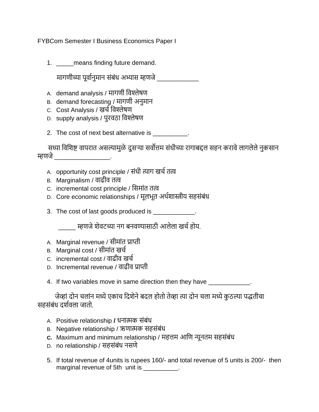FYBCom Semester I Business Economics Paper I

1. \_\_\_\_\_\_ means finding future demand.

मागणीच्या पर्वानमान संबंध अभ्यास म्हणजे

- A. demand analysis / मागणी वर्श्लेषण
- B. demand forecasting / मागणी अनुमान
- C. Cost Analysis / खर्ावर्श्लेषण
- D. supply analysis / पुरर्ठा वर्श्लेषण
- 2. The cost of next best alternative is \_\_\_\_\_\_\_\_\_\_.

सध्या विशिष्ट वापरात असल्यामुळे दुसऱ्या सर्वोत्तम संधीच्या रागाबद्दल सहन करावे लागलेले नुकसान म्हणजे\_\_\_\_\_\_\_\_\_\_\_\_\_\_\_\_.

- A. opportunity cost principle / संधी त्याग खर्ातत्व
- B. Marginalism / र्ाढीर् तत्व
- C. incremental cost principle / वसमांत तत्व
- D. Core economic relationships / मूलभूत अर्ािास्त्रीय सहसंबंध
- 3. The cost of last goods produced is \_\_\_\_\_\_\_\_\_\_\_\_.

\_\_\_\_\_ म्हणजेिेर्टच्या नग बनर्ण्यासाठी आलेला खर्ाहोय.

- A. Marginal revenue / सीमांत प्राप्ती
- B. Marginal cost / सीमांत खर्ा
- C. incremental cost / र्ाढीर् खर्ा
- D. Incremental revenue / र्ाढीर् प्राप्ती
- 4. If two variables move in same direction then they have \_\_\_\_\_\_\_\_\_\_\_\_.

जेव्हां दोन चलांन मध्ये एकाच दिशेने बदल होतो तेव्हा त्या दोन चला मध्ये कुठल्या पद्धतीचा सहसंबंध दर्शवला जातो.

- A. Positive relationship **/** धनात्मक संबंध
- B. Negative relationship / ऋणात्मक सहसंबंध
- **C.** Maximum and minimum relationship / महत्तम आवण न्यूनतम सहसंबंध
- D. no relationship / सहसंबंध नसणे
- 5. If total revenue of 4units is rupees 160/- and total revenue of 5 units is 200/- then marginal revenue of 5th unit is \_\_\_\_\_\_\_\_\_.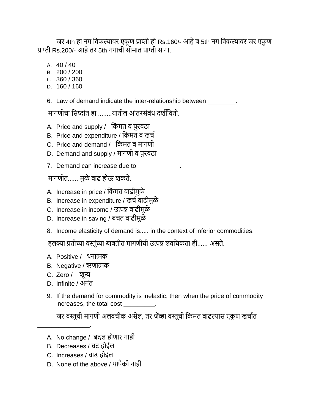जर 4th हा नग विकल्यावर एकूण प्राप्ती ही Rs.160/- आहे ब 5th नग विकल्यावर जर एकूण प्राप्ती Rs.200/- आहेतर 5th नगार्ी सीमांत प्राप्ती सांगा.

- A. 40 / 40
- B. 200 / 200
- C. 360 / 360
- D. 160 / 160
- 6. Law of demand indicate the inter-relationship between \_\_\_\_\_\_\_\_.

मागणीचा सिध्दांत हा ........यातील आंतरसंबंध दर्शीवितो.

- A. Price and supply / किंमत व पुरवठा
- B. Price and expenditure / किंमत व खर्च
- C. Price and demand / किंमत व मागणी
- D. Demand and supply / मागणी व पुरवठा
- 7. Demand can increase due to

मागणीत...... मुळे वाढ होऊ शकते.

- A. Increase in price / किंमत वाढीमुळे
- B. Increase in expenditure / खर्च वाढीमुळे
- C. Increase in income / उत्पन्न र्ाढीमुळे
- D. Increase in saving / बर्त र्ाढीमुळे
- 8. Income elasticity of demand is..... in the context of inferior commodities.

हलक्या प्रतीच्या वस्तूंच्या बाबतीत मागणीची उत्पन्न लवचिकता ही...... असते.

- A. Positive / धनात्मक
- B. Negative / ऋणात्मक
- C. Zero / िून्य
- D. Infinite / अनंत

\_\_\_\_\_\_\_\_\_\_\_\_\_\_\_.

9. If the demand for commodity is inelastic, then when the price of commodity increases, the total cost \_\_\_\_\_\_\_\_\_.

जर वस्तूची मागणी अलवचीक असेल, तर जेंव्हा वस्तूची किंमत वाढल्यास एकूण खर्चात

- A. No change / बदल होणार नाही
- B. Decreases / घट होईल
- C. Increases / र्ाढ होईल
- D. None of the above / यापैकी नाही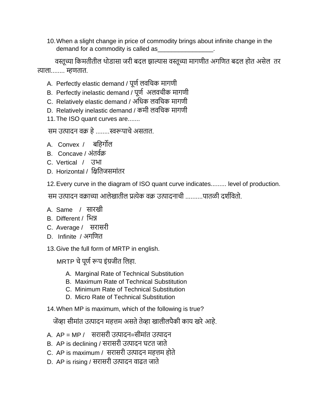10.When a slight change in price of commodity brings about infinite change in the demand for a commodity is called as

 र्स्ूच्या वकमतीतील र्ोडासा जरी बदल झाल्यास र्स्ूच्या मागणीत अगवणत बदल होत असेल तर त्याला........ म्हणतात.

- A. Perfectly elastic demand / पूर्ण लवचिक मागणी
- B. Perfectly inelastic demand / पूर्ण अलवचीक मागणी
- C. Relatively elastic demand / अवधक लर्वर्क मागणी
- D. Relatively inelastic demand / कमी लर्वर्क मागणी
- 11.The ISO quant curves are.......

सम उत्पादन वक्र हे ........स्वरूपाचे असतात.

- A. Convex / बवहगोल
- B. Concave / अंतर्ाक्र
- C. Vertical / उभा
- D. Horizontal / विवतजसमांतर

12.Every curve in the diagram of ISO quant curve indicates......... level of production.

सम उत्पादन वक्राच्या आलेखातील प्रत्येक वक्र उत्पादनाची ..........पातळी दर्शवितो.

- A. Same / सारखी
- B. Different / वभन्न
- C. Average / सरासरी
- D. Infinite / अगवणत
- 13.Give the full form of MRTP in english.

MRTP चे पूर्ण रूप इंग्रजीत लिहा.

- A. Marginal Rate of Technical Substitution
- B. Maximum Rate of Technical Substitution
- C. Minimum Rate of Technical Substitution
- D. Micro Rate of Technical Substitution
- 14.When MP is maximum, which of the following is true?

जेंव्हा सीमांत उत्पादन महत्तम असते तेव्हा खालीलपैकी काय खरे आहे.

- A. AP = MP / सरासरी उत्पादन=सीमांत उत्पादन
- B. AP is declining / सरासरी उत्पादन घटत जाते
- C. AP is maximum / सरासरी उत्पादन महत्तम होते
- D. AP is rising / सरासरी उत्पादन वाढत जाते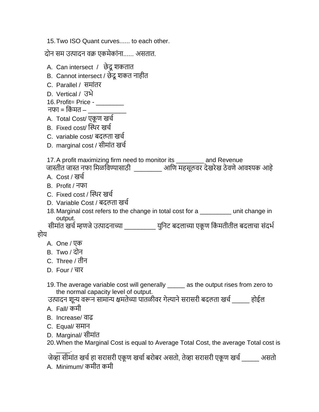15.Two ISO Quant curves...... to each other.

दोन सम उत्पादन र्क्र एकमेकांना...... असतात.

- A. Can intersect / छेदू शकतात
- B. Cannot intersect / छेदू शकत नाहीत
- C. Parallel / समांतर
- D. Vertical / उभे
- 16.Profit= Price \_\_\_\_\_\_\_\_
- नफा = किंमत –
- A. Total Cost/ एकूण खर्च
- B. Fixed cost/ स्थर्र खर्ा
- C. variable cost/ बदलता खर्ा
- D. marginal cost / सीमांत खर्ा

17.A profit maximizing firm need to monitor its \_\_\_\_\_\_\_\_ and Revenue

जास्तीत जास्त नफा मिळविण्यासाठी \_\_\_\_\_\_\_\_\_ आणि महसूलवर देखरेख ठेवणे आवश्यक आहे

- A. Cost / खर्ा
- B. Profit / नफा
- C. Fixed cost / स्थर्र खर्ा
- D. Variable Cost / बदलता खर्ा
- 18.Marginal cost refers to the change in total cost for a \_\_\_\_\_\_\_\_\_ unit change in output.

्डद्भवःः<br>सीमांत खर्च म्हणजे उत्पादनाच्या \_\_\_\_\_\_\_\_\_\_\_\_\_ युनिट बदलाच्या एकूण किंमतीतील बदलाचा संदर्भ होय

- A. One / एक
- B. Two / दोन
- C. Three / तीन
- D. Four / चार
- 19. The average variable cost will generally  $\qquad \Box$  as the output rises from zero to the normal capacity level of output.

उत्पादन शून्य वरून सामान्य क्षमतेच्या पातळीवर गेल्याने सरासरी बदलता खर्च \_\_\_\_\_ होईल A. Fall/ कमी

- B. Increase/ र्ाढ
- C. Equal/ समान
- D. Marginal/ सीमांत

20.When the Marginal Cost is equal to Average Total Cost, the average Total cost is

\_\_\_\_. जेव्हा सीमांत खर्च हा सरासरी एकूण खर्चा बरोबर असतो, तेव्हा सरासरी एकूण खर्च \_\_\_\_\_\_\_ असतो

A. Minimum/ कमीत कमी